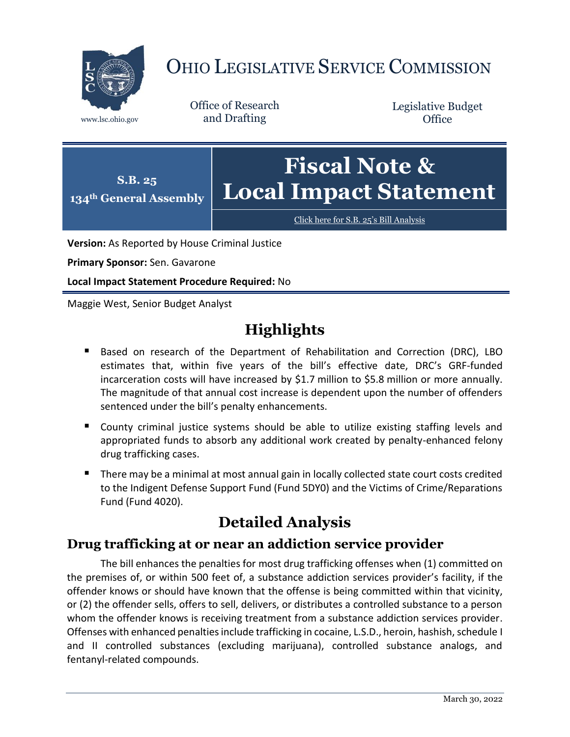

# OHIO LEGISLATIVE SERVICE COMMISSION

Office of Research www.lsc.ohio.gov and Drafting

Legislative Budget **Office** 



[Click here for S.B. 25](https://www.legislature.ohio.gov/legislation/legislation-documents?id=GA134-SB-25)'s Bill Analysis

**Version:** As Reported by House Criminal Justice

**Primary Sponsor:** Sen. Gavarone

**Local Impact Statement Procedure Required:** No

Maggie West, Senior Budget Analyst

## **Highlights**

- Based on research of the Department of Rehabilitation and Correction (DRC), LBO estimates that, within five years of the bill's effective date, DRC's GRF-funded incarceration costs will have increased by \$1.7 million to \$5.8 million or more annually. The magnitude of that annual cost increase is dependent upon the number of offenders sentenced under the bill's penalty enhancements.
- County criminal justice systems should be able to utilize existing staffing levels and appropriated funds to absorb any additional work created by penalty-enhanced felony drug trafficking cases.
- There may be a minimal at most annual gain in locally collected state court costs credited to the Indigent Defense Support Fund (Fund 5DY0) and the Victims of Crime/Reparations Fund (Fund 4020).

### **Detailed Analysis**

#### **Drug trafficking at or near an addiction service provider**

The bill enhances the penalties for most drug trafficking offenses when (1) committed on the premises of, or within 500 feet of, a substance addiction services provider's facility, if the offender knows or should have known that the offense is being committed within that vicinity, or (2) the offender sells, offers to sell, delivers, or distributes a controlled substance to a person whom the offender knows is receiving treatment from a substance addiction services provider. Offenses with enhanced penalties include trafficking in cocaine, L.S.D., heroin, hashish, schedule I and II controlled substances (excluding marijuana), controlled substance analogs, and fentanyl-related compounds.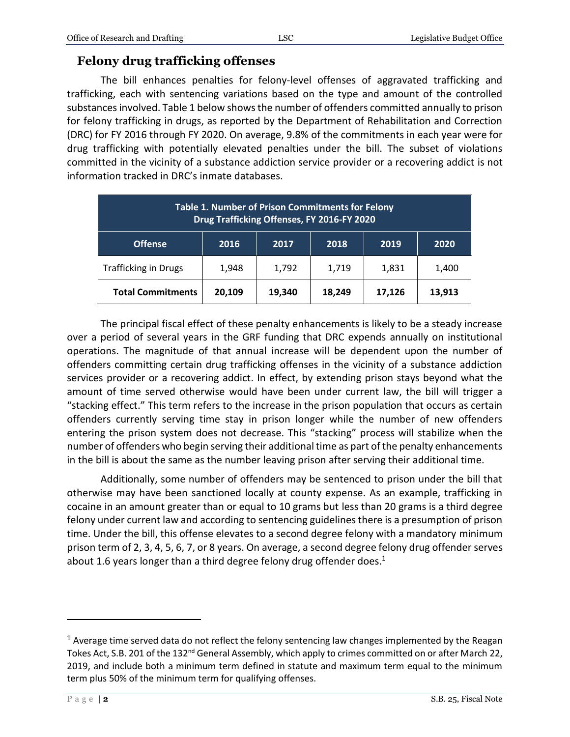#### **Felony drug trafficking offenses**

The bill enhances penalties for felony-level offenses of aggravated trafficking and trafficking, each with sentencing variations based on the type and amount of the controlled substances involved. Table 1 below shows the number of offenders committed annually to prison for felony trafficking in drugs, as reported by the Department of Rehabilitation and Correction (DRC) for FY 2016 through FY 2020. On average, 9.8% of the commitments in each year were for drug trafficking with potentially elevated penalties under the bill. The subset of violations committed in the vicinity of a substance addiction service provider or a recovering addict is not information tracked in DRC's inmate databases.

| <b>Table 1. Number of Prison Commitments for Felony</b><br>Drug Trafficking Offenses, FY 2016-FY 2020 |        |        |        |        |        |
|-------------------------------------------------------------------------------------------------------|--------|--------|--------|--------|--------|
| <b>Offense</b>                                                                                        | 2016   | 2017   | 2018   | 2019   | 2020   |
| <b>Trafficking in Drugs</b>                                                                           | 1,948  | 1,792  | 1,719  | 1,831  | 1,400  |
| <b>Total Commitments</b>                                                                              | 20,109 | 19,340 | 18,249 | 17,126 | 13,913 |

The principal fiscal effect of these penalty enhancements is likely to be a steady increase over a period of several years in the GRF funding that DRC expends annually on institutional operations. The magnitude of that annual increase will be dependent upon the number of offenders committing certain drug trafficking offenses in the vicinity of a substance addiction services provider or a recovering addict. In effect, by extending prison stays beyond what the amount of time served otherwise would have been under current law, the bill will trigger a "stacking effect." This term refers to the increase in the prison population that occurs as certain offenders currently serving time stay in prison longer while the number of new offenders entering the prison system does not decrease. This "stacking" process will stabilize when the number of offenders who begin serving their additional time as part of the penalty enhancements in the bill is about the same as the number leaving prison after serving their additional time.

Additionally, some number of offenders may be sentenced to prison under the bill that otherwise may have been sanctioned locally at county expense. As an example, trafficking in cocaine in an amount greater than or equal to 10 grams but less than 20 grams is a third degree felony under current law and according to sentencing guidelines there is a presumption of prison time. Under the bill, this offense elevates to a second degree felony with a mandatory minimum prison term of 2, 3, 4, 5, 6, 7, or 8 years. On average, a second degree felony drug offender serves about 1.6 years longer than a third degree felony drug offender does.<sup>1</sup>

 $\overline{a}$ 

<sup>&</sup>lt;sup>1</sup> Average time served data do not reflect the felony sentencing law changes implemented by the Reagan Tokes Act, S.B. 201 of the 132<sup>nd</sup> General Assembly, which apply to crimes committed on or after March 22, 2019, and include both a minimum term defined in statute and maximum term equal to the minimum term plus 50% of the minimum term for qualifying offenses.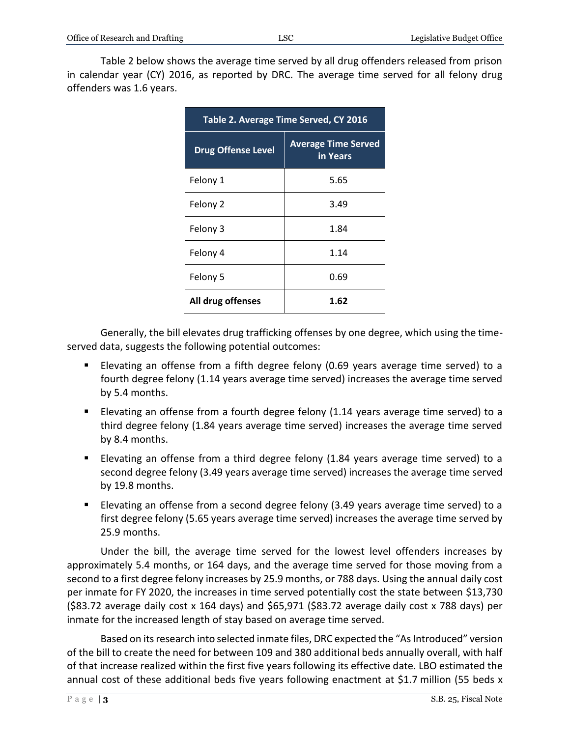Table 2 below shows the average time served by all drug offenders released from prison in calendar year (CY) 2016, as reported by DRC. The average time served for all felony drug offenders was 1.6 years.

| Table 2. Average Time Served, CY 2016 |                                        |  |  |  |
|---------------------------------------|----------------------------------------|--|--|--|
| <b>Drug Offense Level</b>             | <b>Average Time Served</b><br>in Years |  |  |  |
| Felony 1                              | 5.65                                   |  |  |  |
| Felony 2                              | 3.49                                   |  |  |  |
| Felony 3                              | 1.84                                   |  |  |  |
| Felony 4                              | 1.14                                   |  |  |  |
| Felony 5                              | 0.69                                   |  |  |  |
| All drug offenses                     | 1.62                                   |  |  |  |

Generally, the bill elevates drug trafficking offenses by one degree, which using the timeserved data, suggests the following potential outcomes:

- Elevating an offense from a fifth degree felony (0.69 years average time served) to a fourth degree felony (1.14 years average time served) increases the average time served by 5.4 months.
- Elevating an offense from a fourth degree felony (1.14 years average time served) to a third degree felony (1.84 years average time served) increases the average time served by 8.4 months.
- Elevating an offense from a third degree felony (1.84 years average time served) to a second degree felony (3.49 years average time served) increases the average time served by 19.8 months.
- Elevating an offense from a second degree felony (3.49 years average time served) to a first degree felony (5.65 years average time served) increases the average time served by 25.9 months.

Under the bill, the average time served for the lowest level offenders increases by approximately 5.4 months, or 164 days, and the average time served for those moving from a second to a first degree felony increases by 25.9 months, or 788 days. Using the annual daily cost per inmate for FY 2020, the increases in time served potentially cost the state between \$13,730 (\$83.72 average daily cost x 164 days) and \$65,971 (\$83.72 average daily cost x 788 days) per inmate for the increased length of stay based on average time served.

Based on its research into selected inmate files, DRC expected the "As Introduced" version of the bill to create the need for between 109 and 380 additional beds annually overall, with half of that increase realized within the first five years following its effective date. LBO estimated the annual cost of these additional beds five years following enactment at \$1.7 million (55 beds x